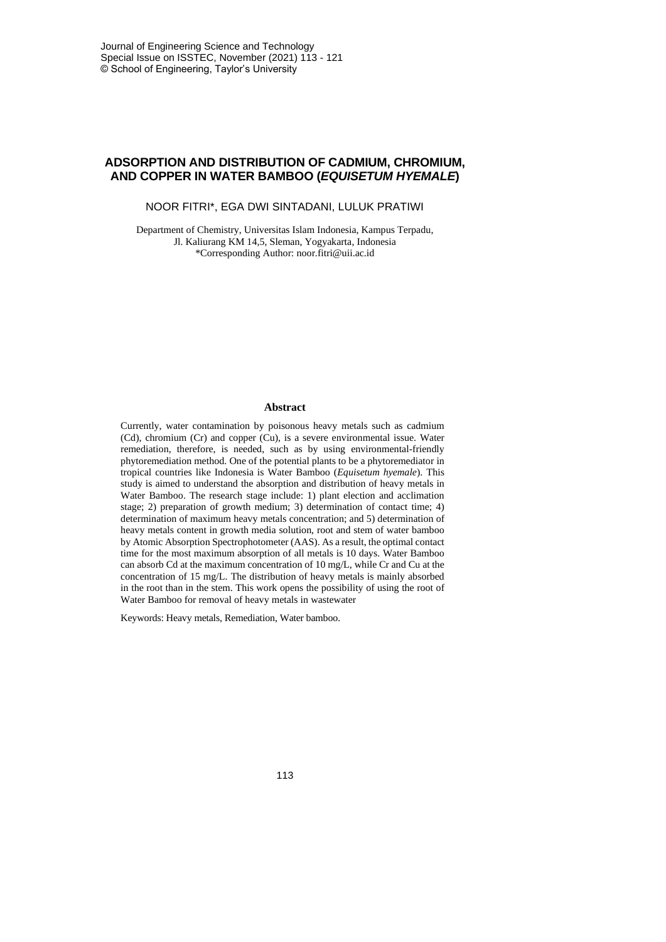# **ADSORPTION AND DISTRIBUTION OF CADMIUM, CHROMIUM, AND COPPER IN WATER BAMBOO (***EQUISETUM HYEMALE***)**

NOOR FITRI\*, EGA DWI SINTADANI, LULUK PRATIWI

Department of Chemistry, Universitas Islam Indonesia, Kampus Terpadu, Jl. Kaliurang KM 14,5, Sleman, Yogyakarta, Indonesia \*Corresponding Author: noor.fitri@uii.ac.id

#### **Abstract**

Currently, water contamination by poisonous heavy metals such as cadmium (Cd), chromium (Cr) and copper (Cu), is a severe environmental issue. Water remediation, therefore, is needed, such as by using environmental-friendly phytoremediation method. One of the potential plants to be a phytoremediator in tropical countries like Indonesia is Water Bamboo (*Equisetum hyemale*). This study is aimed to understand the absorption and distribution of heavy metals in Water Bamboo. The research stage include: 1) plant election and acclimation stage; 2) preparation of growth medium; 3) determination of contact time; 4) determination of maximum heavy metals concentration; and 5) determination of heavy metals content in growth media solution, root and stem of water bamboo by Atomic Absorption Spectrophotometer (AAS). As a result, the optimal contact time for the most maximum absorption of all metals is 10 days. Water Bamboo can absorb Cd at the maximum concentration of 10 mg/L, while Cr and Cu at the concentration of 15 mg/L. The distribution of heavy metals is mainly absorbed in the root than in the stem. This work opens the possibility of using the root of Water Bamboo for removal of heavy metals in wastewater

Keywords: Heavy metals, Remediation, Water bamboo.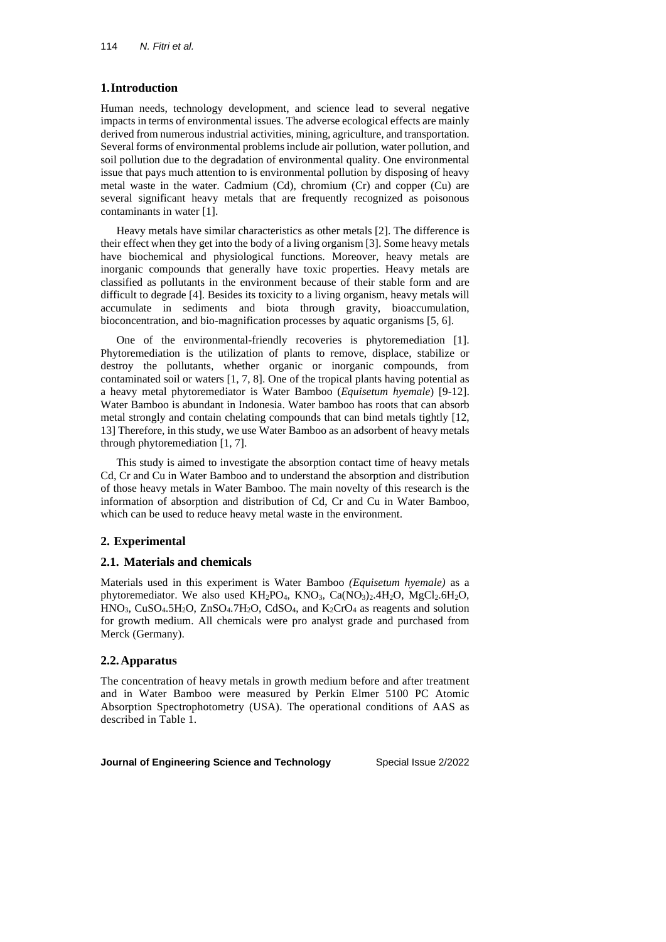# **1.Introduction**

Human needs, technology development, and science lead to several negative impacts in terms of environmental issues. The adverse ecological effects are mainly derived from numerous industrial activities, mining, agriculture, and transportation. Several forms of environmental problems include air pollution, water pollution, and soil pollution due to the degradation of environmental quality. One environmental issue that pays much attention to is environmental pollution by disposing of heavy metal waste in the water. Cadmium (Cd), chromium (Cr) and copper (Cu) are several significant heavy metals that are frequently recognized as poisonous contaminants in water [1].

Heavy metals have similar characteristics as other metals [2]. The difference is their effect when they get into the body of a living organism [3]. Some heavy metals have biochemical and physiological functions. Moreover, heavy metals are inorganic compounds that generally have toxic properties. Heavy metals are classified as pollutants in the environment because of their stable form and are difficult to degrade [4]. Besides its toxicity to a living organism, heavy metals will accumulate in sediments and biota through gravity, bioaccumulation, bioconcentration, and bio-magnification processes by aquatic organisms [5, 6].

One of the environmental-friendly recoveries is phytoremediation [1]. Phytoremediation is the utilization of plants to remove, displace, stabilize or destroy the pollutants, whether organic or inorganic compounds, from contaminated soil or waters [1, 7, 8]. One of the tropical plants having potential as a heavy metal phytoremediator is Water Bamboo (*Equisetum hyemale*) [9-12]. Water Bamboo is abundant in Indonesia. Water bamboo has roots that can absorb metal strongly and contain chelating compounds that can bind metals tightly [12, 13] Therefore, in this study, we use Water Bamboo as an adsorbent of heavy metals through phytoremediation [1, 7].

This study is aimed to investigate the absorption contact time of heavy metals Cd, Cr and Cu in Water Bamboo and to understand the absorption and distribution of those heavy metals in Water Bamboo. The main novelty of this research is the information of absorption and distribution of Cd, Cr and Cu in Water Bamboo, which can be used to reduce heavy metal waste in the environment.

# **2. Experimental**

# **2.1. Materials and chemicals**

Materials used in this experiment is Water Bamboo *(Equisetum hyemale)* as a phytoremediator. We also used  $KH_2PO_4$ , KNO<sub>3</sub>, Ca(NO<sub>3</sub>)<sub>2</sub>.4H<sub>2</sub>O, MgCl<sub>2</sub>.6H<sub>2</sub>O,  $HNO<sub>3</sub>$ , CuSO<sub>4</sub>.5H<sub>2</sub>O, ZnSO<sub>4</sub>.7H<sub>2</sub>O, CdSO<sub>4</sub>, and K<sub>2</sub>CrO<sub>4</sub> as reagents and solution for growth medium. All chemicals were pro analyst grade and purchased from Merck (Germany).

# **2.2.Apparatus**

The concentration of heavy metals in growth medium before and after treatment and in Water Bamboo were measured by Perkin Elmer 5100 PC Atomic Absorption Spectrophotometry (USA). The operational conditions of AAS as described in Table 1.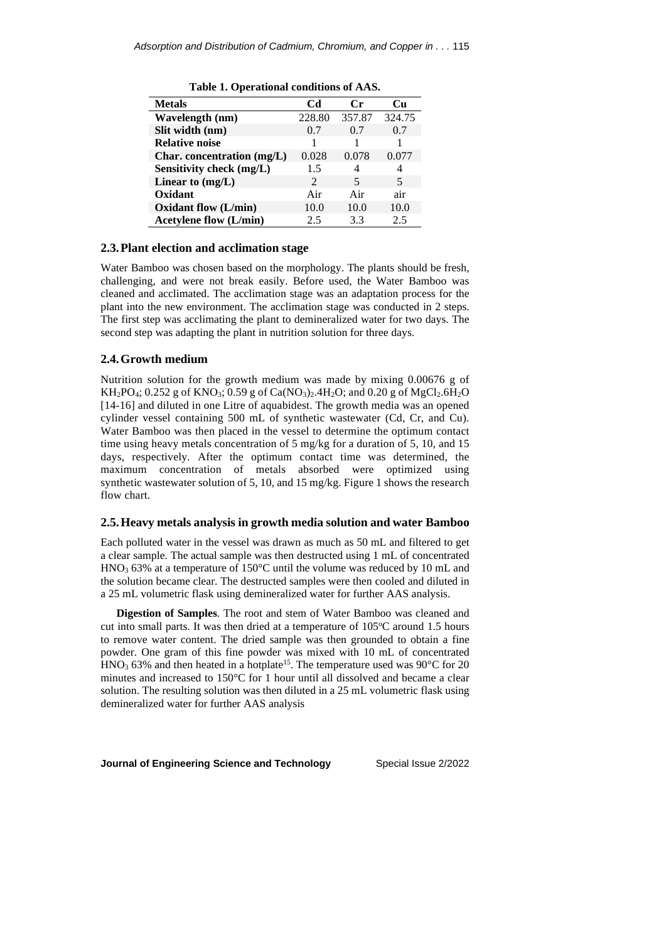| л.                            |                       |          |        |
|-------------------------------|-----------------------|----------|--------|
| <b>Metals</b>                 | Cd                    | $\bf Cr$ | Cп     |
| Wavelength (nm)               | 228.80                | 357.87   | 324.75 |
| Slit width (nm)               | 0.7                   | 0.7      | 0.7    |
| <b>Relative noise</b>         |                       |          |        |
| Char. concentration $(mg/L)$  | 0.028                 | 0.078    | 0.077  |
| Sensitivity check (mg/L)      | 1.5                   | 4        | 4      |
| Linear to $(mg/L)$            | $\mathcal{D}_{\cdot}$ | 5        | 5      |
| Oxidant                       | Air                   | Air      | air    |
| Oxidant flow (L/min)          | 10.0                  | 10.0     | 10.0   |
| <b>Acetylene flow (L/min)</b> | 2.5                   | 3.3      | 2.5    |

**Table 1. Operational conditions of AAS.**

#### **2.3.Plant election and acclimation stage**

Water Bamboo was chosen based on the morphology. The plants should be fresh, challenging, and were not break easily. Before used, the Water Bamboo was cleaned and acclimated. The acclimation stage was an adaptation process for the plant into the new environment. The acclimation stage was conducted in 2 steps. The first step was acclimating the plant to demineralized water for two days. The second step was adapting the plant in nutrition solution for three days.

#### **2.4.Growth medium**

Nutrition solution for the growth medium was made by mixing 0.00676 g of KH<sub>2</sub>PO<sub>4</sub>; 0.252 g of KNO<sub>3</sub>; 0.59 g of Ca(NO<sub>3</sub>)<sub>2</sub>.4H<sub>2</sub>O; and 0.20 g of MgCl<sub>2</sub>.6H<sub>2</sub>O [14-16] and diluted in one Litre of aquabidest. The growth media was an opened cylinder vessel containing 500 mL of synthetic wastewater (Cd, Cr, and Cu). Water Bamboo was then placed in the vessel to determine the optimum contact time using heavy metals concentration of 5 mg/kg for a duration of 5, 10, and 15 days, respectively. After the optimum contact time was determined, the maximum concentration of metals absorbed were optimized using synthetic wastewater solution of 5, 10, and 15 mg/kg. Figure 1 shows the research flow chart.

#### **2.5.Heavy metals analysis in growth media solution and water Bamboo**

Each polluted water in the vessel was drawn as much as 50 mL and filtered to get a clear sample. The actual sample was then destructed using 1 mL of concentrated HNO<sup>3</sup> 63% at a temperature of 150°C until the volume was reduced by 10 mL and the solution became clear. The destructed samples were then cooled and diluted in a 25 mL volumetric flask using demineralized water for further AAS analysis.

**Digestion of Samples**. The root and stem of Water Bamboo was cleaned and cut into small parts. It was then dried at a temperature of  $105^{\circ}$ C around 1.5 hours to remove water content. The dried sample was then grounded to obtain a fine powder. One gram of this fine powder was mixed with 10 mL of concentrated  $HNO<sub>3</sub> 63%$  and then heated in a hotplate<sup>15</sup>. The temperature used was 90 $^{\circ}$ C for 20 minutes and increased to 150°C for 1 hour until all dissolved and became a clear solution. The resulting solution was then diluted in a 25 mL volumetric flask using demineralized water for further AAS analysis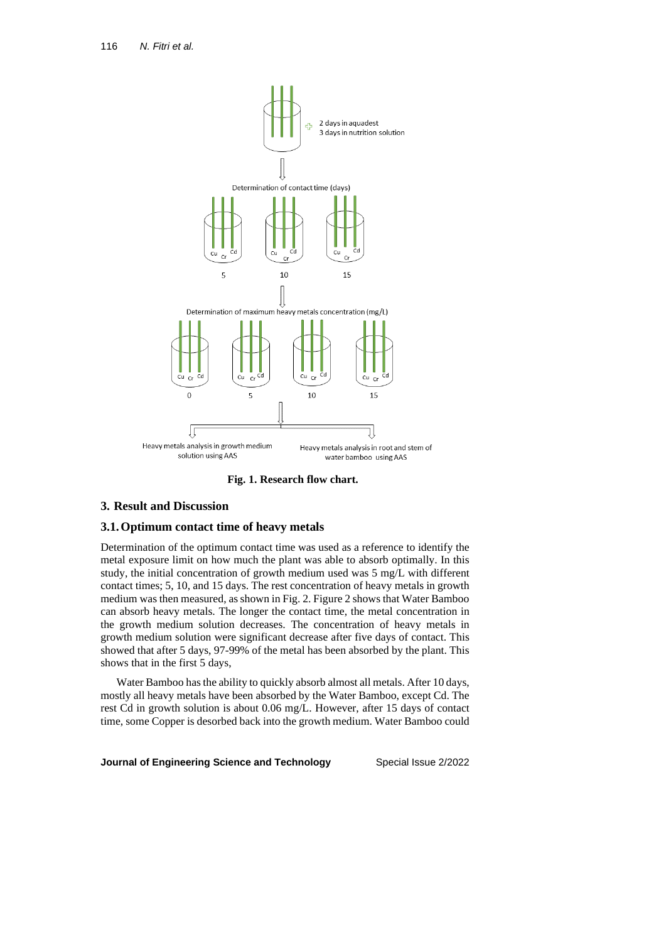

**Fig. 1. Research flow chart.**

# **3. Result and Discussion**

### **3.1.Optimum contact time of heavy metals**

Determination of the optimum contact time was used as a reference to identify the metal exposure limit on how much the plant was able to absorb optimally. In this study, the initial concentration of growth medium used was 5 mg/L with different contact times; 5, 10, and 15 days. The rest concentration of heavy metals in growth medium was then measured, asshown in Fig. 2. Figure 2 shows that Water Bamboo can absorb heavy metals. The longer the contact time, the metal concentration in the growth medium solution decreases. The concentration of heavy metals in growth medium solution were significant decrease after five days of contact. This showed that after 5 days, 97-99% of the metal has been absorbed by the plant. This shows that in the first 5 days,

Water Bamboo has the ability to quickly absorb almost all metals. After 10 days, mostly all heavy metals have been absorbed by the Water Bamboo, except Cd. The rest Cd in growth solution is about 0.06 mg/L. However, after 15 days of contact time, some Copper is desorbed back into the growth medium. Water Bamboo could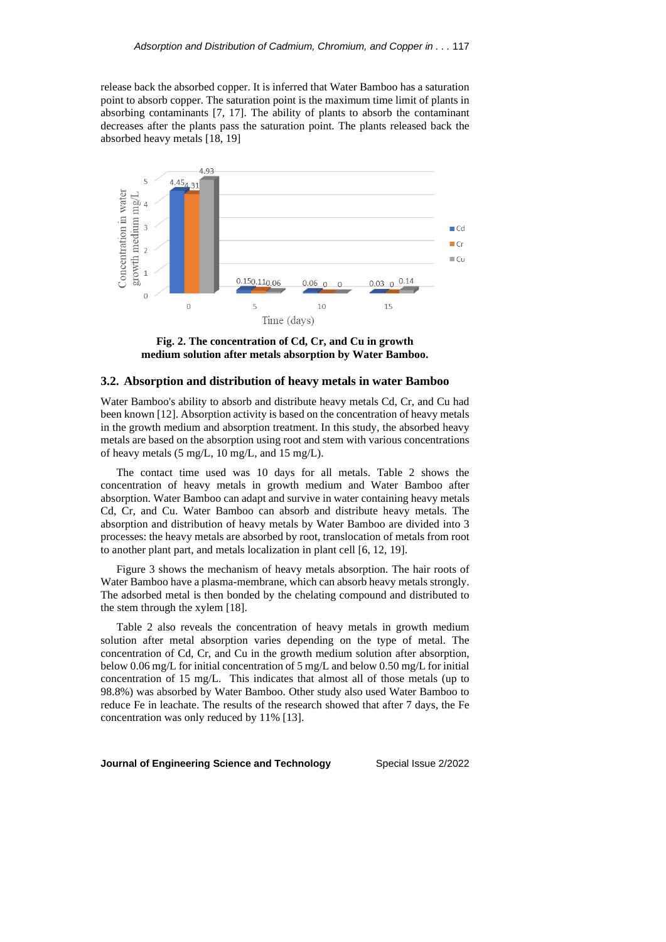release back the absorbed copper. It is inferred that Water Bamboo has a saturation point to absorb copper. The saturation point is the maximum time limit of plants in absorbing contaminants [7, 17]. The ability of plants to absorb the contaminant decreases after the plants pass the saturation point. The plants released back the absorbed heavy metals [18, 19]



**Fig. 2. The concentration of Cd, Cr, and Cu in growth medium solution after metals absorption by Water Bamboo.**

#### **3.2. Absorption and distribution of heavy metals in water Bamboo**

Water Bamboo's ability to absorb and distribute heavy metals Cd, Cr, and Cu had been known [12]. Absorption activity is based on the concentration of heavy metals in the growth medium and absorption treatment. In this study, the absorbed heavy metals are based on the absorption using root and stem with various concentrations of heavy metals (5 mg/L, 10 mg/L, and 15 mg/L).

The contact time used was 10 days for all metals. Table 2 shows the concentration of heavy metals in growth medium and Water Bamboo after absorption. Water Bamboo can adapt and survive in water containing heavy metals Cd, Cr, and Cu. Water Bamboo can absorb and distribute heavy metals. The absorption and distribution of heavy metals by Water Bamboo are divided into 3 processes: the heavy metals are absorbed by root, translocation of metals from root to another plant part, and metals localization in plant cell [6, 12, 19].

Figure 3 shows the mechanism of heavy metals absorption. The hair roots of Water Bamboo have a plasma-membrane, which can absorb heavy metals strongly. The adsorbed metal is then bonded by the chelating compound and distributed to the stem through the xylem [18].

Table 2 also reveals the concentration of heavy metals in growth medium solution after metal absorption varies depending on the type of metal. The concentration of Cd, Cr, and Cu in the growth medium solution after absorption, below 0.06 mg/L for initial concentration of 5 mg/L and below 0.50 mg/L for initial concentration of 15 mg/L. This indicates that almost all of those metals (up to 98.8%) was absorbed by Water Bamboo. Other study also used Water Bamboo to reduce Fe in leachate. The results of the research showed that after 7 days, the Fe concentration was only reduced by 11% [13].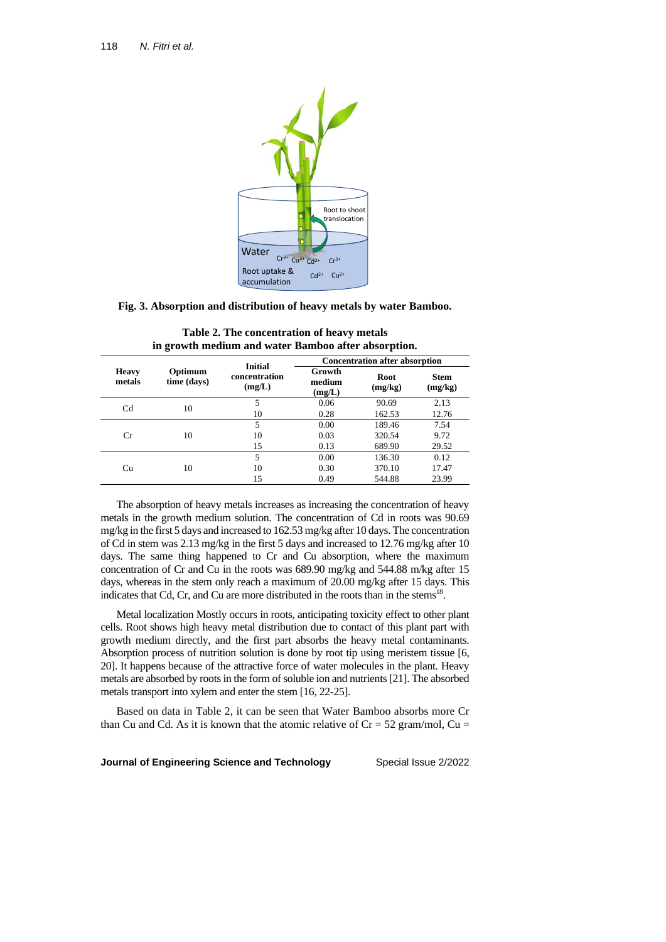

**Fig. 3. Absorption and distribution of heavy metals by water Bamboo.**

| <b>Heavy</b><br>metals | Optimum<br>time (days) | <b>Initial</b><br>concentration<br>(mg/L) | <b>Concentration after absorption</b> |                 |                        |
|------------------------|------------------------|-------------------------------------------|---------------------------------------|-----------------|------------------------|
|                        |                        |                                           | Growth<br>medium<br>(mg/L)            | Root<br>(mg/kg) | <b>Stem</b><br>(mg/kg) |
| C <sub>d</sub>         | 10                     | 5                                         | 0.06                                  | 90.69           | 2.13                   |
|                        |                        | 10                                        | 0.28                                  | 162.53          | 12.76                  |
| $_{\rm Cr}$            | 10                     | 5                                         | 0.00                                  | 189.46          | 7.54                   |
|                        |                        | 10                                        | 0.03                                  | 320.54          | 9.72                   |
|                        |                        | 15                                        | 0.13                                  | 689.90          | 29.52                  |
| Сu                     | 10                     | 5                                         | 0.00                                  | 136.30          | 0.12                   |
|                        |                        | 10                                        | 0.30                                  | 370.10          | 17.47                  |
|                        |                        | 15                                        | 0.49                                  | 544.88          | 23.99                  |

**Table 2. The concentration of heavy metals in growth medium and water Bamboo after absorption.**

The absorption of heavy metals increases as increasing the concentration of heavy metals in the growth medium solution. The concentration of Cd in roots was 90.69 mg/kg in the first 5 days and increased to 162.53 mg/kg after 10 days. The concentration of Cd in stem was 2.13 mg/kg in the first 5 days and increased to 12.76 mg/kg after 10 days. The same thing happened to Cr and Cu absorption, where the maximum concentration of Cr and Cu in the roots was 689.90 mg/kg and 544.88 m/kg after 15 days, whereas in the stem only reach a maximum of 20.00 mg/kg after 15 days. This indicates that Cd, Cr, and Cu are more distributed in the roots than in the stems $18$ .

Metal localization Mostly occurs in roots, anticipating toxicity effect to other plant cells. Root shows high heavy metal distribution due to contact of this plant part with growth medium directly, and the first part absorbs the heavy metal contaminants. Absorption process of nutrition solution is done by root tip using meristem tissue [6, 20]. It happens because of the attractive force of water molecules in the plant. Heavy metals are absorbed by roots in the form of soluble ion and nutrients [21]. The absorbed metals transport into xylem and enter the stem [16, 22-25].

Based on data in Table 2, it can be seen that Water Bamboo absorbs more Cr than Cu and Cd. As it is known that the atomic relative of  $Cr = 52$  gram/mol, Cu =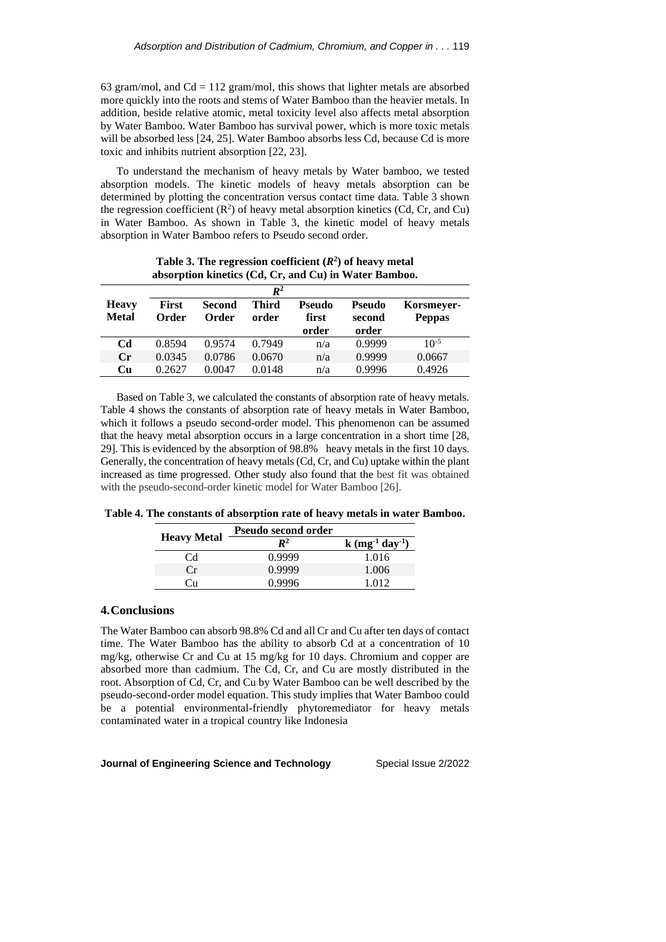63 gram/mol, and  $Cd = 112$  gram/mol, this shows that lighter metals are absorbed more quickly into the roots and stems of Water Bamboo than the heavier metals. In addition, beside relative atomic, metal toxicity level also affects metal absorption by Water Bamboo. Water Bamboo has survival power, which is more toxic metals will be absorbed less [24, 25]. Water Bamboo absorbs less Cd, because Cd is more toxic and inhibits nutrient absorption [22, 23].

To understand the mechanism of heavy metals by Water bamboo, we tested absorption models. The kinetic models of heavy metals absorption can be determined by plotting the concentration versus contact time data. Table 3 shown the regression coefficient  $(R^2)$  of heavy metal absorption kinetics (Cd, Cr, and Cu) in Water Bamboo. As shown in Table 3, the kinetic model of heavy metals absorption in Water Bamboo refers to Pseudo second order.

|                              |                       |                        | $\mathbb{R}^2$ |                 |                  |                             |
|------------------------------|-----------------------|------------------------|----------------|-----------------|------------------|-----------------------------|
| <b>Heavy</b><br><b>Metal</b> | <b>First</b><br>Order | <b>Second</b><br>Order | Third<br>order | Pseudo<br>first | Pseudo<br>second | Korsmeyer-<br><b>Peppas</b> |
|                              |                       |                        |                | order           | order            |                             |
| Cd                           | 0.8594                | 0.9574                 | 0.7949         | n/a             | 0.9999           | $10^{-5}$                   |
| $C_{r}$                      | 0.0345                | 0.0786                 | 0.0670         | n/a             | 0.9999           | 0.0667                      |
| Cи                           | 0.2627                | 0.0047                 | 0.0148         | n/a             | 0.9996           | 0.4926                      |

**Table 3. The regression coefficient (***R* **2 ) of heavy metal absorption kinetics (Cd, Cr, and Cu) in Water Bamboo.**

Based on Table 3, we calculated the constants of absorption rate of heavy metals. Table 4 shows the constants of absorption rate of heavy metals in Water Bamboo, which it follows a pseudo second-order model. This phenomenon can be assumed that the heavy metal absorption occurs in a large concentration in a short time [28, 29]. This is evidenced by the absorption of 98.8% heavy metals in the first 10 days. Generally, the concentration of heavy metals(Cd, Cr, and Cu) uptake within the plant increased as time progressed. Other study also found that the best fit was obtained with the pseudo-second-order kinetic model for Water Bamboo [26].

**Table 4. The constants of absorption rate of heavy metals in water Bamboo.**

|                    | <b>Pseudo second order</b> |                  |
|--------------------|----------------------------|------------------|
| <b>Heavy Metal</b> | $I\!\!R^2$                 | $k (mg-1 day-1)$ |
| Cd                 | 0.9999                     | 1.016            |
| Cr                 | 0.9999                     | 1.006            |
| 'n                 | በ 9996                     | 1 012            |

### **4.Conclusions**

The Water Bamboo can absorb 98.8% Cd and all Cr and Cu after ten days of contact time. The Water Bamboo has the ability to absorb Cd at a concentration of 10 mg/kg, otherwise Cr and Cu at 15 mg/kg for 10 days. Chromium and copper are absorbed more than cadmium. The Cd, Cr, and Cu are mostly distributed in the root. Absorption of Cd, Cr, and Cu by Water Bamboo can be well described by the pseudo-second-order model equation. This study implies that Water Bamboo could be a potential environmental-friendly phytoremediator for heavy metals contaminated water in a tropical country like Indonesia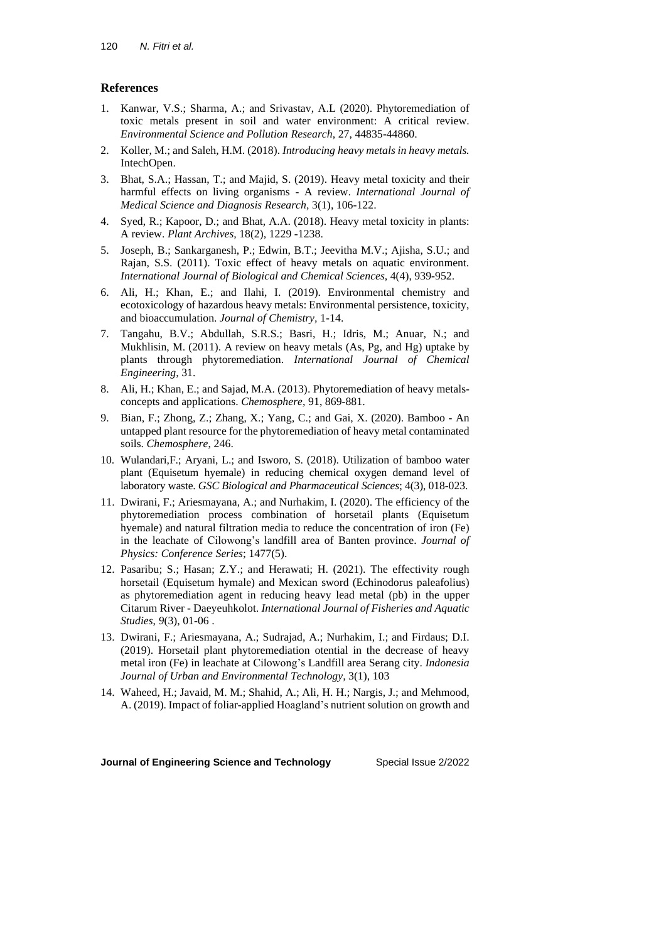# **References**

- 1. Kanwar, V.S.; Sharma, A.; and Srivastav, A.L (2020). Phytoremediation of toxic metals present in soil and water environment: A critical review. *Environmental Science and Pollution Research*, 27, 44835-44860.
- 2. Koller, M.; and Saleh, H.M. (2018). *Introducing heavy metals in heavy metals.* IntechOpen.
- 3. Bhat, S.A.; Hassan, T.; and Majid, S. (2019). Heavy metal toxicity and their harmful effects on living organisms - A review. *International Journal of Medical Science and Diagnosis Research,* 3(1), 106-122.
- 4. Syed, R.; Kapoor, D.; and Bhat, A.A. (2018). Heavy metal toxicity in plants: A review. *Plant Archives,* 18(2), 1229 -1238.
- 5. Joseph, B.; Sankarganesh, P.; Edwin, B.T.; Jeevitha M.V.; Ajisha, S.U.; and Rajan, S.S. (2011). Toxic effect of heavy metals on aquatic environment. *International Journal of Biological and Chemical Sciences*, 4(4), 939-952.
- 6. Ali, H.; Khan, E.; and Ilahi, I. (2019). Environmental chemistry and ecotoxicology of hazardous heavy metals: Environmental persistence, toxicity, and bioaccumulation. *Journal of Chemistry,* 1-14.
- 7. Tangahu, B.V.; Abdullah, S.R.S.; Basri, H.; Idris, M.; Anuar, N.; and Mukhlisin, M. (2011). A review on heavy metals (As, Pg, and Hg) uptake by plants through phytoremediation. *International Journal of Chemical Engineering,* 31.
- 8. Ali, H.; Khan, E.; and Sajad, M.A. (2013). Phytoremediation of heavy metalsconcepts and applications. *Chemosphere,* 91, 869-881.
- 9. Bian, F.; Zhong, Z.; Zhang, X.; Yang, C.; and Gai, X. (2020). Bamboo An untapped plant resource for the phytoremediation of heavy metal contaminated soils. *Chemosphere*, 246.
- 10. Wulandari,F.; Aryani, L.; and Isworo, S. (2018). Utilization of bamboo water plant (Equisetum hyemale) in reducing chemical oxygen demand level of laboratory waste. *GSC Biological and Pharmaceutical Sciences*; 4(3), 018-023.
- 11. Dwirani, F.; Ariesmayana, A.; and Nurhakim, I. (2020). The efficiency of the phytoremediation process combination of horsetail plants (Equisetum hyemale) and natural filtration media to reduce the concentration of iron (Fe) in the leachate of Cilowong's landfill area of Banten province. *Journal of Physics: Conference Series*; 1477(5).
- 12. Pasaribu; S.; Hasan; Z.Y.; and Herawati; H. (2021). The effectivity rough horsetail (Equisetum hymale) and Mexican sword (Echinodorus paleafolius) as phytoremediation agent in reducing heavy lead metal (pb) in the upper Citarum River - Daeyeuhkolot. *International Journal of Fisheries and Aquatic Studies*, *9*(3), 01-06 .
- 13. Dwirani, F.; Ariesmayana, A.; Sudrajad, A.; Nurhakim, I.; and Firdaus; D.I. (2019). Horsetail plant phytoremediation otential in the decrease of heavy metal iron (Fe) in leachate at Cilowong's Landfill area Serang city. *Indonesia Journal of Urban and Environmental Technology,* 3(1), 103
- 14. Waheed, H.; Javaid, M. M.; Shahid, A.; Ali, H. H.; Nargis, J.; and Mehmood, A. (2019). Impact of foliar-applied Hoagland's nutrient solution on growth and